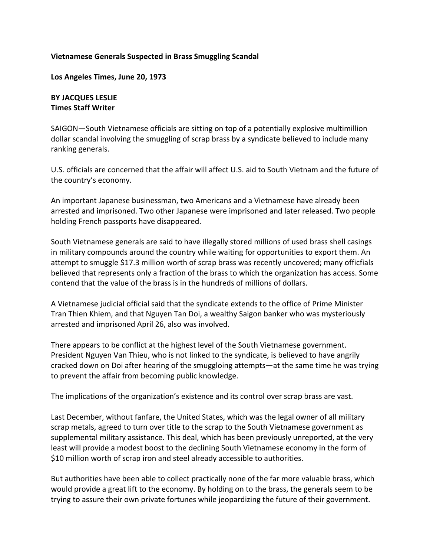## **Vietnamese Generals Suspected in Brass Smuggling Scandal**

**Los Angeles Times, June 20, 1973**

## **BY JACQUES LESLIE Times Staff Writer**

SAIGON—South Vietnamese officials are sitting on top of a potentially explosive multimillion dollar scandal involving the smuggling of scrap brass by a syndicate believed to include many ranking generals.

U.S. officials are concerned that the affair will affect U.S. aid to South Vietnam and the future of the country's economy.

An important Japanese businessman, two Americans and a Vietnamese have already been arrested and imprisoned. Two other Japanese were imprisoned and later released. Two people holding French passports have disappeared.

South Vietnamese generals are said to have illegally stored millions of used brass shell casings in military compounds around the country while waiting for opportunities to export them. An attempt to smuggle \$17.3 million worth of scrap brass was recently uncovered; many officfials believed that represents only a fraction of the brass to which the organization has access. Some contend that the value of the brass is in the hundreds of millions of dollars.

A Vietnamese judicial official said that the syndicate extends to the office of Prime Minister Tran Thien Khiem, and that Nguyen Tan Doi, a wealthy Saigon banker who was mysteriously arrested and imprisoned April 26, also was involved.

There appears to be conflict at the highest level of the South Vietnamese government. President Nguyen Van Thieu, who is not linked to the syndicate, is believed to have angrily cracked down on Doi after hearing of the smuggloing attempts—at the same time he was trying to prevent the affair from becoming public knowledge.

The implications of the organization's existence and its control over scrap brass are vast.

Last December, without fanfare, the United States, which was the legal owner of all military scrap metals, agreed to turn over title to the scrap to the South Vietnamese government as supplemental military assistance. This deal, which has been previously unreported, at the very least will provide a modest boost to the declining South Vietnamese economy in the form of \$10 million worth of scrap iron and steel already accessible to authorities.

But authorities have been able to collect practically none of the far more valuable brass, which would provide a great lift to the economy. By holding on to the brass, the generals seem to be trying to assure their own private fortunes while jeopardizing the future of their government.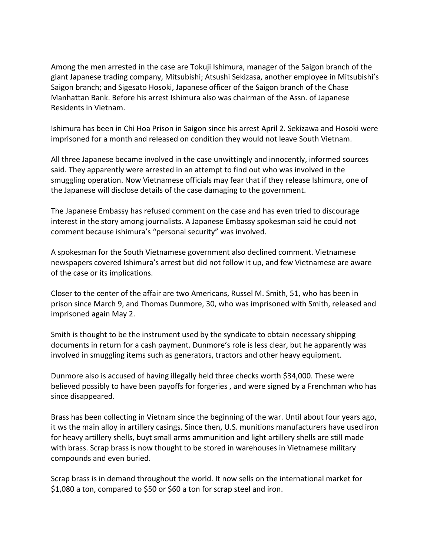Among the men arrested in the case are Tokuji Ishimura, manager of the Saigon branch of the giant Japanese trading company, Mitsubishi; Atsushi Sekizasa, another employee in Mitsubishi's Saigon branch; and Sigesato Hosoki, Japanese officer of the Saigon branch of the Chase Manhattan Bank. Before his arrest Ishimura also was chairman of the Assn. of Japanese Residents in Vietnam.

Ishimura has been in Chi Hoa Prison in Saigon since his arrest April 2. Sekizawa and Hosoki were imprisoned for a month and released on condition they would not leave South Vietnam.

All three Japanese became involved in the case unwittingly and innocently, informed sources said. They apparently were arrested in an attempt to find out who was involved in the smuggling operation. Now Vietnamese officials may fear that if they release Ishimura, one of the Japanese will disclose details of the case damaging to the government.

The Japanese Embassy has refused comment on the case and has even tried to discourage interest in the story among journalists. A Japanese Embassy spokesman said he could not comment because ishimura's "personal security" was involved.

A spokesman for the South Vietnamese government also declined comment. Vietnamese newspapers covered Ishimura's arrest but did not follow it up, and few Vietnamese are aware of the case or its implications.

Closer to the center of the affair are two Americans, Russel M. Smith, 51, who has been in prison since March 9, and Thomas Dunmore, 30, who was imprisoned with Smith, released and imprisoned again May 2.

Smith is thought to be the instrument used by the syndicate to obtain necessary shipping documents in return for a cash payment. Dunmore's role is less clear, but he apparently was involved in smuggling items such as generators, tractors and other heavy equipment.

Dunmore also is accused of having illegally held three checks worth \$34,000. These were believed possibly to have been payoffs for forgeries , and were signed by a Frenchman who has since disappeared.

Brass has been collecting in Vietnam since the beginning of the war. Until about four years ago, it ws the main alloy in artillery casings. Since then, U.S. munitions manufacturers have used iron for heavy artillery shells, buyt small arms ammunition and light artillery shells are still made with brass. Scrap brass is now thought to be stored in warehouses in Vietnamese military compounds and even buried.

Scrap brass is in demand throughout the world. It now sells on the international market for \$1,080 a ton, compared to \$50 or \$60 a ton for scrap steel and iron.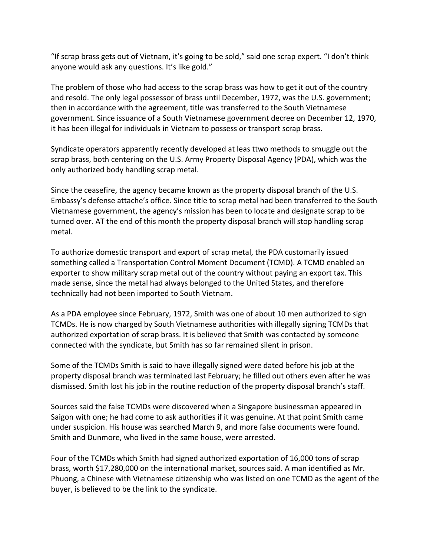"If scrap brass gets out of Vietnam, it's going to be sold," said one scrap expert. "I don't think anyone would ask any questions. It's like gold."

The problem of those who had access to the scrap brass was how to get it out of the country and resold. The only legal possessor of brass until December, 1972, was the U.S. government; then in accordance with the agreement, title was transferred to the South Vietnamese government. Since issuance of a South Vietnamese government decree on December 12, 1970, it has been illegal for individuals in Vietnam to possess or transport scrap brass.

Syndicate operators apparently recently developed at leas ttwo methods to smuggle out the scrap brass, both centering on the U.S. Army Property Disposal Agency (PDA), which was the only authorized body handling scrap metal.

Since the ceasefire, the agency became known as the property disposal branch of the U.S. Embassy's defense attache's office. Since title to scrap metal had been transferred to the South Vietnamese government, the agency's mission has been to locate and designate scrap to be turned over. AT the end of this month the property disposal branch will stop handling scrap metal.

To authorize domestic transport and export of scrap metal, the PDA customarily issued something called a Transportation Control Moment Document (TCMD). A TCMD enabled an exporter to show military scrap metal out of the country without paying an export tax. This made sense, since the metal had always belonged to the United States, and therefore technically had not been imported to South Vietnam.

As a PDA employee since February, 1972, Smith was one of about 10 men authorized to sign TCMDs. He is now charged by South Vietnamese authorities with illegally signing TCMDs that authorized exportation of scrap brass. It is believed that Smith was contacted by someone connected with the syndicate, but Smith has so far remained silent in prison.

Some of the TCMDs Smith is said to have illegally signed were dated before his job at the property disposal branch was terminated last February; he filled out others even after he was dismissed. Smith lost his job in the routine reduction of the property disposal branch's staff.

Sources said the false TCMDs were discovered when a Singapore businessman appeared in Saigon with one; he had come to ask authorities if it was genuine. At that point Smith came under suspicion. His house was searched March 9, and more false documents were found. Smith and Dunmore, who lived in the same house, were arrested.

Four of the TCMDs which Smith had signed authorized exportation of 16,000 tons of scrap brass, worth \$17,280,000 on the international market, sources said. A man identified as Mr. Phuong, a Chinese with Vietnamese citizenship who was listed on one TCMD as the agent of the buyer, is believed to be the link to the syndicate.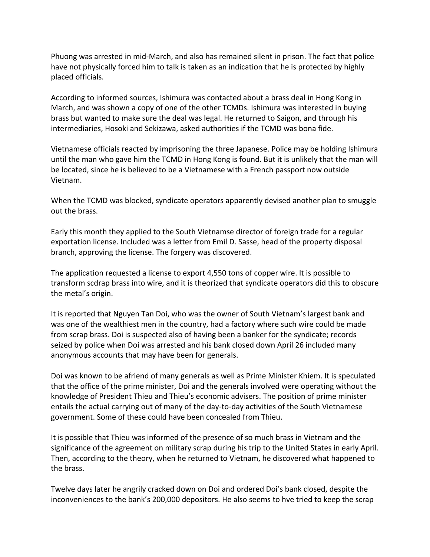Phuong was arrested in mid-March, and also has remained silent in prison. The fact that police have not physically forced him to talk is taken as an indication that he is protected by highly placed officials.

According to informed sources, Ishimura was contacted about a brass deal in Hong Kong in March, and was shown a copy of one of the other TCMDs. Ishimura was interested in buying brass but wanted to make sure the deal was legal. He returned to Saigon, and through his intermediaries, Hosoki and Sekizawa, asked authorities if the TCMD was bona fide.

Vietnamese officials reacted by imprisoning the three Japanese. Police may be holding Ishimura until the man who gave him the TCMD in Hong Kong is found. But it is unlikely that the man will be located, since he is believed to be a Vietnamese with a French passport now outside Vietnam.

When the TCMD was blocked, syndicate operators apparently devised another plan to smuggle out the brass.

Early this month they applied to the South Vietnamse director of foreign trade for a regular exportation license. Included was a letter from Emil D. Sasse, head of the property disposal branch, approving the license. The forgery was discovered.

The application requested a license to export 4,550 tons of copper wire. It is possible to transform scdrap brass into wire, and it is theorized that syndicate operators did this to obscure the metal's origin.

It is reported that Nguyen Tan Doi, who was the owner of South Vietnam's largest bank and was one of the wealthiest men in the country, had a factory where such wire could be made from scrap brass. Doi is suspected also of having been a banker for the syndicate; records seized by police when Doi was arrested and his bank closed down April 26 included many anonymous accounts that may have been for generals.

Doi was known to be afriend of many generals as well as Prime Minister Khiem. It is speculated that the office of the prime minister, Doi and the generals involved were operating without the knowledge of President Thieu and Thieu's economic advisers. The position of prime minister entails the actual carrying out of many of the day-to-day activities of the South Vietnamese government. Some of these could have been concealed from Thieu.

It is possible that Thieu was informed of the presence of so much brass in Vietnam and the significance of the agreement on military scrap during his trip to the United States in early April. Then, according to the theory, when he returned to Vietnam, he discovered what happened to the brass.

Twelve days later he angrily cracked down on Doi and ordered Doi's bank closed, despite the inconveniences to the bank's 200,000 depositors. He also seems to hve tried to keep the scrap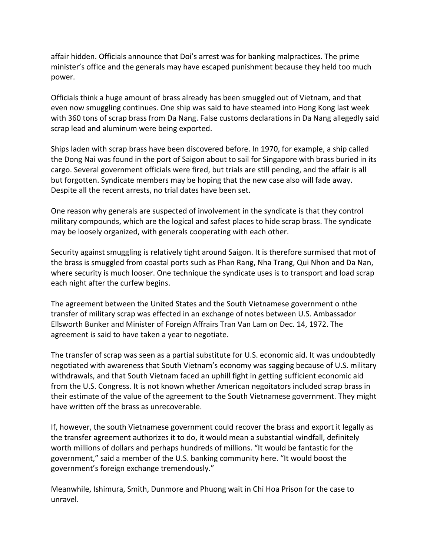affair hidden. Officials announce that Doi's arrest was for banking malpractices. The prime minister's office and the generals may have escaped punishment because they held too much power.

Officials think a huge amount of brass already has been smuggled out of Vietnam, and that even now smuggling continues. One ship was said to have steamed into Hong Kong last week with 360 tons of scrap brass from Da Nang. False customs declarations in Da Nang allegedly said scrap lead and aluminum were being exported.

Ships laden with scrap brass have been discovered before. In 1970, for example, a ship called the Dong Nai was found in the port of Saigon about to sail for Singapore with brass buried in its cargo. Several government officials were fired, but trials are still pending, and the affair is all but forgotten. Syndicate members may be hoping that the new case also will fade away. Despite all the recent arrests, no trial dates have been set.

One reason why generals are suspected of involvement in the syndicate is that they control military compounds, which are the logical and safest places to hide scrap brass. The syndicate may be loosely organized, with generals cooperating with each other.

Security against smuggling is relatively tight around Saigon. It is therefore surmised that mot of the brass is smuggled from coastal ports such as Phan Rang, Nha Trang, Qui Nhon and Da Nan, where security is much looser. One technique the syndicate uses is to transport and load scrap each night after the curfew begins.

The agreement between the United States and the South Vietnamese government o nthe transfer of military scrap was effected in an exchange of notes between U.S. Ambassador Ellsworth Bunker and Minister of Foreign Affrairs Tran Van Lam on Dec. 14, 1972. The agreement is said to have taken a year to negotiate.

The transfer of scrap was seen as a partial substitute for U.S. economic aid. It was undoubtedly negotiated with awareness that South Vietnam's economy was sagging because of U.S. military withdrawals, and that South Vietnam faced an uphill fight in getting sufficient economic aid from the U.S. Congress. It is not known whether American negoitators included scrap brass in their estimate of the value of the agreement to the South Vietnamese government. They might have written off the brass as unrecoverable.

If, however, the south Vietnamese government could recover the brass and export it legally as the transfer agreement authorizes it to do, it would mean a substantial windfall, definitely worth millions of dollars and perhaps hundreds of millions. "It would be fantastic for the government," said a member of the U.S. banking community here. "It would boost the government's foreign exchange tremendously."

Meanwhile, Ishimura, Smith, Dunmore and Phuong wait in Chi Hoa Prison for the case to unravel.